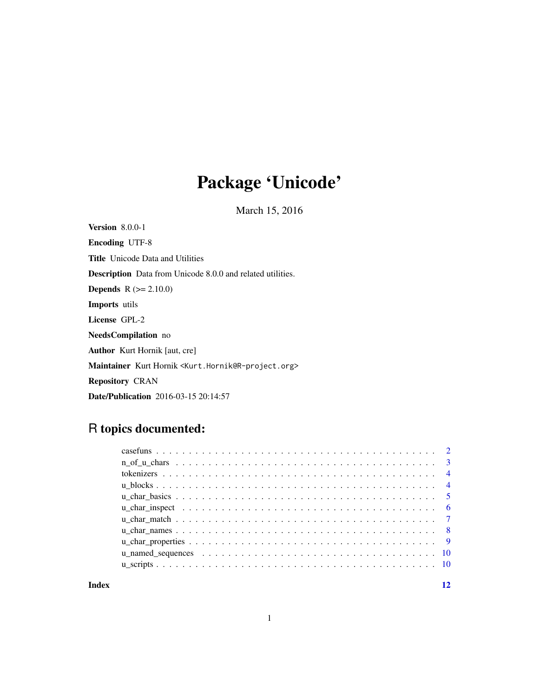# Package 'Unicode'

March 15, 2016

<span id="page-0-0"></span>Version 8.0.0-1 Encoding UTF-8 Title Unicode Data and Utilities Description Data from Unicode 8.0.0 and related utilities. **Depends** R  $(>= 2.10.0)$ Imports utils License GPL-2 NeedsCompilation no Author Kurt Hornik [aut, cre] Maintainer Kurt Hornik <Kurt.Hornik@R-project.org> Repository CRAN

# R topics documented:

Date/Publication 2016-03-15 20:14:57

#### **Index** [12](#page-11-0)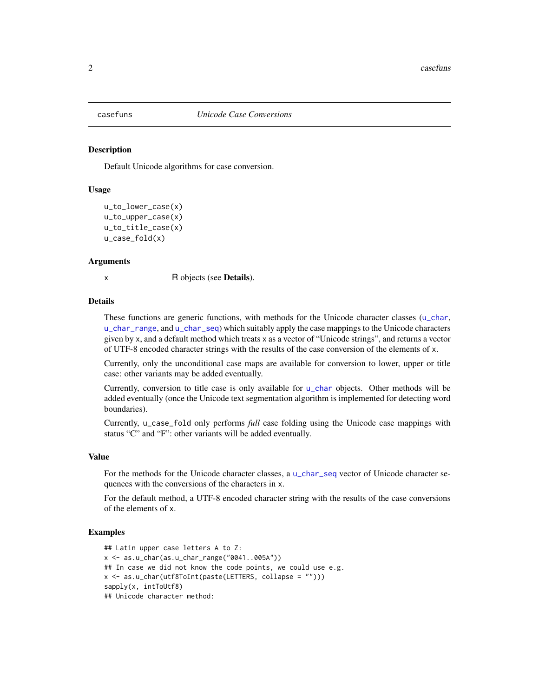<span id="page-1-0"></span>

#### Description

Default Unicode algorithms for case conversion.

#### Usage

```
u_to_lower_case(x)
u_to_upper_case(x)
u_to_title_case(x)
u_case_fold(x)
```
#### Arguments

x R objects (see **Details**).

#### Details

These functions are generic functions, with methods for the Unicode character classes ([u\\_char](#page-4-1), [u\\_char\\_range](#page-4-1), and [u\\_char\\_seq](#page-4-1)) which suitably apply the case mappings to the Unicode characters given by x, and a default method which treats x as a vector of "Unicode strings", and returns a vector of UTF-8 encoded character strings with the results of the case conversion of the elements of x.

Currently, only the unconditional case maps are available for conversion to lower, upper or title case: other variants may be added eventually.

Currently, conversion to title case is only available for [u\\_char](#page-4-1) objects. Other methods will be added eventually (once the Unicode text segmentation algorithm is implemented for detecting word boundaries).

Currently, u\_case\_fold only performs *full* case folding using the Unicode case mappings with status "C" and "F": other variants will be added eventually.

#### Value

For the methods for the Unicode character classes, a [u\\_char\\_seq](#page-4-1) vector of Unicode character sequences with the conversions of the characters in x.

For the default method, a UTF-8 encoded character string with the results of the case conversions of the elements of x.

```
## Latin upper case letters A to Z:
x <- as.u_char(as.u_char_range("0041..005A"))
## In case we did not know the code points, we could use e.g.
x <- as.u_char(utf8ToInt(paste(LETTERS, collapse = "")))
sapply(x, intToUtf8)
## Unicode character method:
```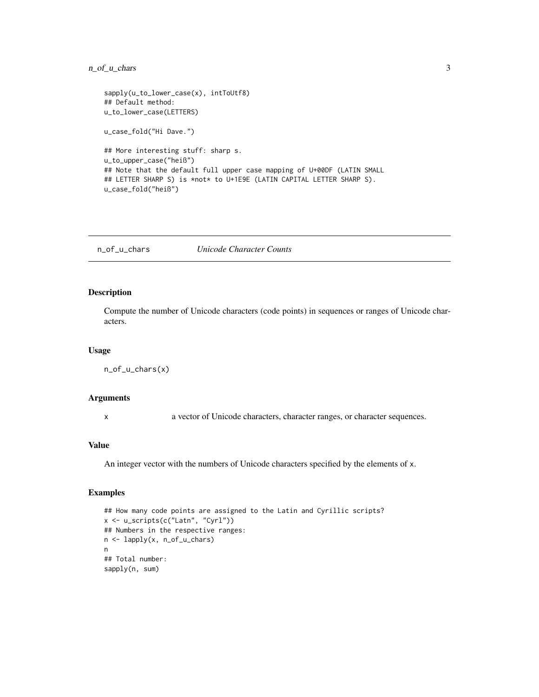# <span id="page-2-0"></span>n\_of\_u\_chars 3

```
sapply(u_to_lower_case(x), intToUtf8)
## Default method:
u_to_lower_case(LETTERS)
u_case_fold("Hi Dave.")
## More interesting stuff: sharp s.
u_to_upper_case("heiß")
## Note that the default full upper case mapping of U+00DF (LATIN SMALL
## LETTER SHARP S) is *not* to U+1E9E (LATIN CAPITAL LETTER SHARP S).
u_case_fold("heiß")
```
n\_of\_u\_chars *Unicode Character Counts*

# Description

Compute the number of Unicode characters (code points) in sequences or ranges of Unicode characters.

#### Usage

```
n_of_u_chars(x)
```
# Arguments

x a vector of Unicode characters, character ranges, or character sequences.

# Value

An integer vector with the numbers of Unicode characters specified by the elements of x.

```
## How many code points are assigned to the Latin and Cyrillic scripts?
x <- u_scripts(c("Latn", "Cyrl"))
## Numbers in the respective ranges:
n <- lapply(x, n_of_u_chars)
n
## Total number:
sapply(n, sum)
```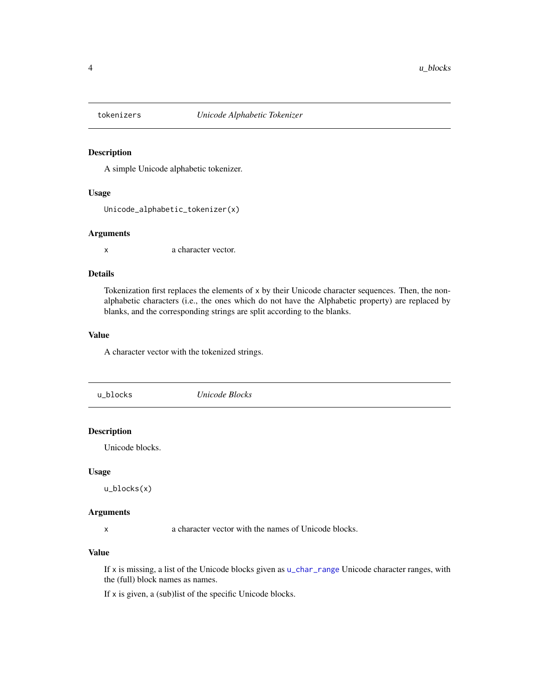<span id="page-3-0"></span>

### Description

A simple Unicode alphabetic tokenizer.

# Usage

```
Unicode_alphabetic_tokenizer(x)
```
# Arguments

x a character vector.

#### Details

Tokenization first replaces the elements of x by their Unicode character sequences. Then, the nonalphabetic characters (i.e., the ones which do not have the Alphabetic property) are replaced by blanks, and the corresponding strings are split according to the blanks.

# Value

A character vector with the tokenized strings.

u\_blocks *Unicode Blocks*

# Description

Unicode blocks.

#### Usage

u\_blocks(x)

#### Arguments

x a character vector with the names of Unicode blocks.

# Value

If x is missing, a list of the Unicode blocks given as [u\\_char\\_range](#page-4-1) Unicode character ranges, with the (full) block names as names.

If x is given, a (sub)list of the specific Unicode blocks.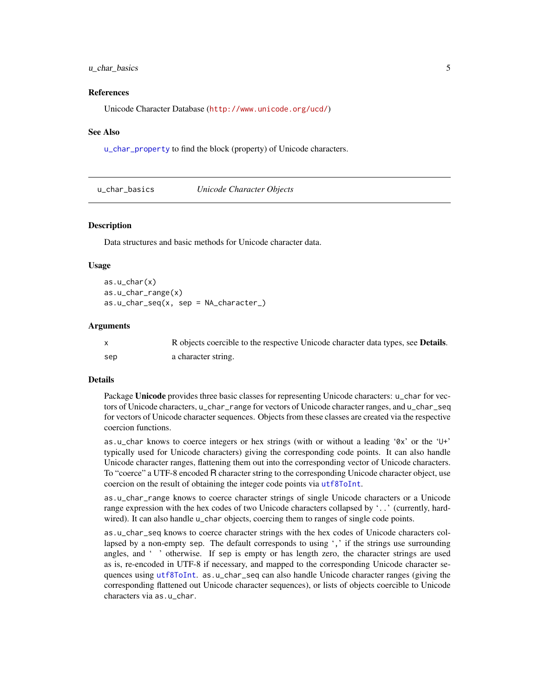# <span id="page-4-0"></span> $u_{\text{right}}$  basics  $5$

#### References

Unicode Character Database (<http://www.unicode.org/ucd/>)

#### See Also

[u\\_char\\_property](#page-8-1) to find the block (property) of Unicode characters.

u\_char\_basics *Unicode Character Objects*

#### <span id="page-4-1"></span>Description

Data structures and basic methods for Unicode character data.

#### Usage

```
as.u_char(x)
as.u_char_range(x)
as.u_char_seq(x, sep = NA_character_)
```
#### **Arguments**

|     | R objects coercible to the respective Unicode character data types, see <b>Details</b> . |
|-----|------------------------------------------------------------------------------------------|
| sep | a character string.                                                                      |

# Details

Package Unicode provides three basic classes for representing Unicode characters: u\_char for vectors of Unicode characters, u\_char\_range for vectors of Unicode character ranges, and u\_char\_seq for vectors of Unicode character sequences. Objects from these classes are created via the respective coercion functions.

as.u\_char knows to coerce integers or hex strings (with or without a leading '0x' or the 'U+' typically used for Unicode characters) giving the corresponding code points. It can also handle Unicode character ranges, flattening them out into the corresponding vector of Unicode characters. To "coerce" a UTF-8 encoded R character string to the corresponding Unicode character object, use coercion on the result of obtaining the integer code points via [utf8ToInt](#page-0-0).

as.u\_char\_range knows to coerce character strings of single Unicode characters or a Unicode range expression with the hex codes of two Unicode characters collapsed by '..' (currently, hardwired). It can also handle u\_char objects, coercing them to ranges of single code points.

as.u\_char\_seq knows to coerce character strings with the hex codes of Unicode characters collapsed by a non-empty sep. The default corresponds to using ',' if the strings use surrounding angles, and ' ' otherwise. If sep is empty or has length zero, the character strings are used as is, re-encoded in UTF-8 if necessary, and mapped to the corresponding Unicode character sequences using [utf8ToInt](#page-0-0). as.u\_char\_seq can also handle Unicode character ranges (giving the corresponding flattened out Unicode character sequences), or lists of objects coercible to Unicode characters via as.u\_char.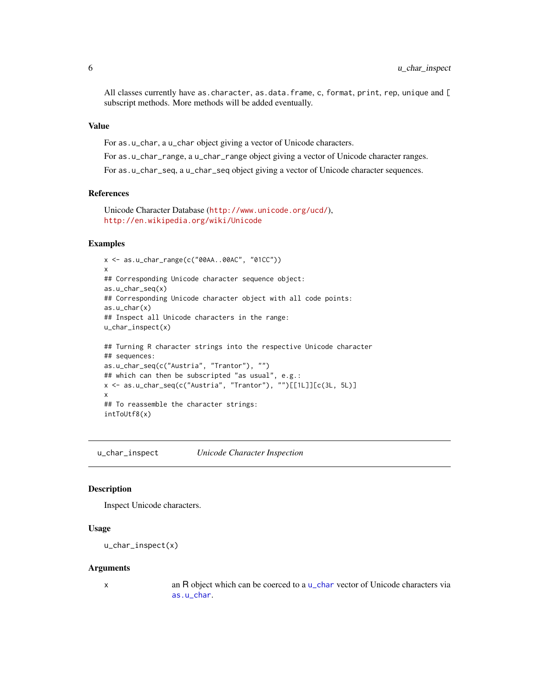<span id="page-5-0"></span>All classes currently have as.character, as.data.frame, c, format, print, rep, unique and [ subscript methods. More methods will be added eventually.

# Value

For as.u\_char, a u\_char object giving a vector of Unicode characters.

For as.u\_char\_range, a u\_char\_range object giving a vector of Unicode character ranges.

For as.u\_char\_seq, a u\_char\_seq object giving a vector of Unicode character sequences.

# References

```
Unicode Character Database (http://www.unicode.org/ucd/),
http://en.wikipedia.org/wiki/Unicode
```
#### Examples

```
x <- as.u_char_range(c("00AA..00AC", "01CC"))
x
## Corresponding Unicode character sequence object:
as.u_char_seq(x)
## Corresponding Unicode character object with all code points:
as.u_char(x)
## Inspect all Unicode characters in the range:
u_char_inspect(x)
## Turning R character strings into the respective Unicode character
## sequences:
as.u_char_seq(c("Austria", "Trantor"), "")
## which can then be subscripted "as usual", e.g.:
x <- as.u_char_seq(c("Austria", "Trantor"), "")[[1L]][c(3L, 5L)]
x
## To reassemble the character strings:
intToUtf8(x)
```
u\_char\_inspect *Unicode Character Inspection*

# Description

Inspect Unicode characters.

#### Usage

```
u_char_inspect(x)
```
#### **Arguments**

x an R object which can be coerced to a [u\\_char](#page-4-1) vector of Unicode characters via [as.u\\_char](#page-4-1).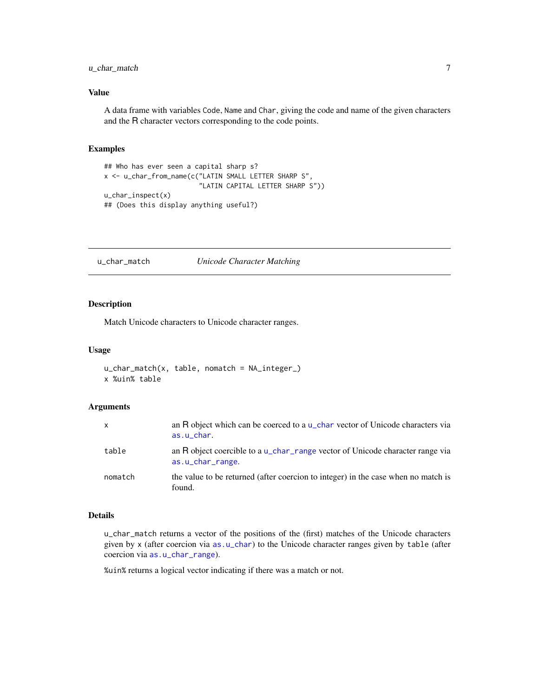# <span id="page-6-0"></span>u\_char\_match 7

# Value

A data frame with variables Code, Name and Char, giving the code and name of the given characters and the R character vectors corresponding to the code points.

#### Examples

```
## Who has ever seen a capital sharp s?
x <- u_char_from_name(c("LATIN SMALL LETTER SHARP S",
                        "LATIN CAPITAL LETTER SHARP S"))
u_char_inspect(x)
## (Does this display anything useful?)
```
u\_char\_match *Unicode Character Matching*

# Description

Match Unicode characters to Unicode character ranges.

#### Usage

u\_char\_match(x, table, nomatch = NA\_integer\_) x %uin% table

# Arguments

| $\mathsf{x}$ | an R object which can be coerced to a $\mu$ -char vector of Unicode characters via<br>$as.u_{char}$ . |
|--------------|-------------------------------------------------------------------------------------------------------|
| table        | an R object coercible to a u_char_range vector of Unicode character range via<br>as.u_char_range.     |
| nomatch      | the value to be returned (after coercion to integer) in the case when no match is<br>found.           |

#### Details

u\_char\_match returns a vector of the positions of the (first) matches of the Unicode characters given by x (after coercion via [as.u\\_char](#page-4-1)) to the Unicode character ranges given by table (after coercion via [as.u\\_char\\_range](#page-4-1)).

%uin% returns a logical vector indicating if there was a match or not.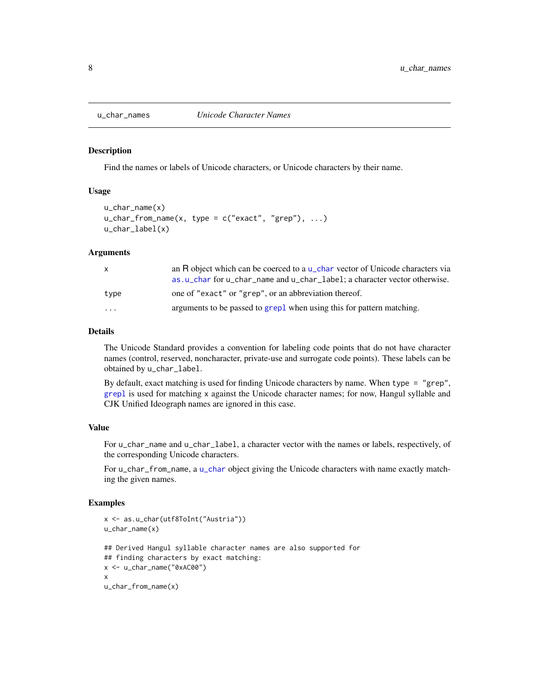<span id="page-7-0"></span>

#### **Description**

Find the names or labels of Unicode characters, or Unicode characters by their name.

### Usage

```
u_char_name(x)
u_{\text{c}}char_from_name(x, type = c("exact", "grep"), ...)
u_char_label(x)
```
#### Arguments

|                         | an R object which can be coerced to a $\mu$ -char vector of Unicode characters via |
|-------------------------|------------------------------------------------------------------------------------|
|                         | as, u_char for u_char_name and u_char_label; a character vector otherwise.         |
| type                    | one of "exact" or "grep", or an abbreviation thereof.                              |
| $\cdot$ $\cdot$ $\cdot$ | arguments to be passed to grepl when using this for pattern matching.              |

# Details

The Unicode Standard provides a convention for labeling code points that do not have character names (control, reserved, noncharacter, private-use and surrogate code points). These labels can be obtained by u\_char\_label.

By default, exact matching is used for finding Unicode characters by name. When type = "grep", [grepl](#page-0-0) is used for matching x against the Unicode character names; for now, Hangul syllable and CJK Unified Ideograph names are ignored in this case.

#### Value

For u\_char\_name and u\_char\_label, a character vector with the names or labels, respectively, of the corresponding Unicode characters.

For u\_char\_from\_name, a [u\\_char](#page-4-1) object giving the Unicode characters with name exactly matching the given names.

```
x <- as.u_char(utf8ToInt("Austria"))
u_char_name(x)
## Derived Hangul syllable character names are also supported for
## finding characters by exact matching:
x <- u_char_name("0xAC00")
x
u_char_from_name(x)
```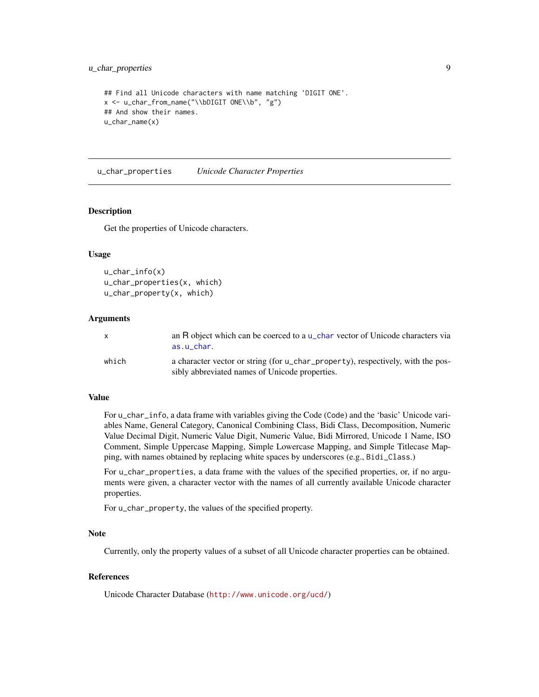# <span id="page-8-0"></span>u\_char\_properties 9

```
## Find all Unicode characters with name matching 'DIGIT ONE'.
x <- u_char_from_name("\\bDIGIT ONE\\b", "g")
## And show their names.
u_char_name(x)
```
u\_char\_properties *Unicode Character Properties*

#### <span id="page-8-1"></span>Description

Get the properties of Unicode characters.

#### Usage

```
u_char_info(x)
u_char_properties(x, which)
u_char_property(x, which)
```
# Arguments

|       | an R object which can be coerced to a $\mu$ -char vector of Unicode characters via<br>as.u char.                                  |
|-------|-----------------------------------------------------------------------------------------------------------------------------------|
| which | a character vector or string (for u_char_property), respectively, with the pos-<br>sibly abbreviated names of Unicode properties. |

# Value

For u\_char\_info, a data frame with variables giving the Code (Code) and the 'basic' Unicode variables Name, General Category, Canonical Combining Class, Bidi Class, Decomposition, Numeric Value Decimal Digit, Numeric Value Digit, Numeric Value, Bidi Mirrored, Unicode 1 Name, ISO Comment, Simple Uppercase Mapping, Simple Lowercase Mapping, and Simple Titlecase Mapping, with names obtained by replacing white spaces by underscores (e.g., Bidi\_Class.)

For u\_char\_properties, a data frame with the values of the specified properties, or, if no arguments were given, a character vector with the names of all currently available Unicode character properties.

For u\_char\_property, the values of the specified property.

#### Note

Currently, only the property values of a subset of all Unicode character properties can be obtained.

# References

Unicode Character Database (<http://www.unicode.org/ucd/>)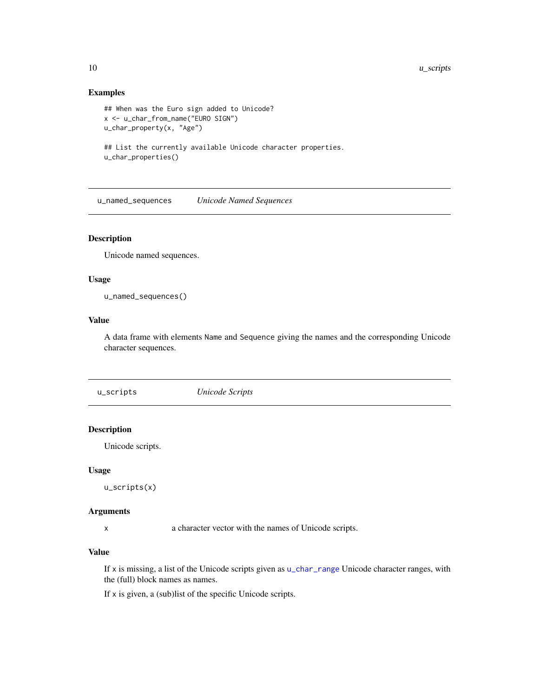# Examples

```
## When was the Euro sign added to Unicode?
x <- u_char_from_name("EURO SIGN")
u_char_property(x, "Age")
## List the currently available Unicode character properties.
u_char_properties()
```
u\_named\_sequences *Unicode Named Sequences*

# Description

Unicode named sequences.

# Usage

u\_named\_sequences()

# Value

A data frame with elements Name and Sequence giving the names and the corresponding Unicode character sequences.

u\_scripts *Unicode Scripts*

# Description

Unicode scripts.

# Usage

u\_scripts(x)

#### Arguments

x a character vector with the names of Unicode scripts.

# Value

If x is missing, a list of the Unicode scripts given as [u\\_char\\_range](#page-4-1) Unicode character ranges, with the (full) block names as names.

If x is given, a (sub)list of the specific Unicode scripts.

<span id="page-9-0"></span>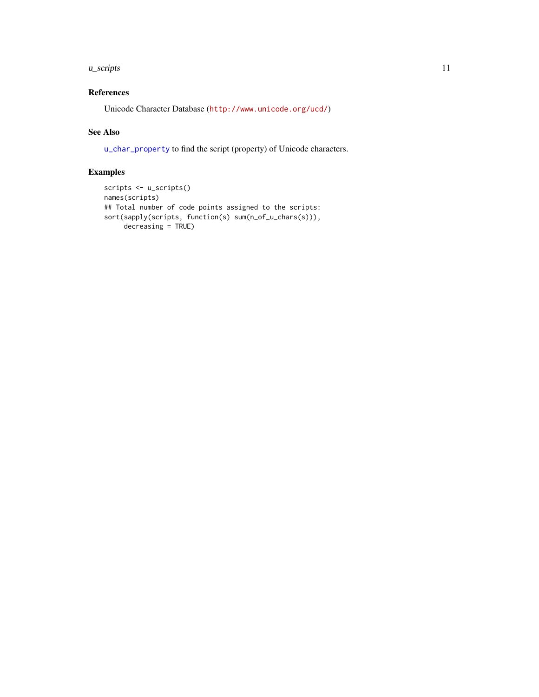#### <span id="page-10-0"></span> $u\_scripts$  11

# References

Unicode Character Database (<http://www.unicode.org/ucd/>)

# See Also

[u\\_char\\_property](#page-8-1) to find the script (property) of Unicode characters.

```
scripts <- u_scripts()
names(scripts)
## Total number of code points assigned to the scripts:
sort(sapply(scripts, function(s) sum(n_of_u_chars(s))),
     decreasing = TRUE)
```